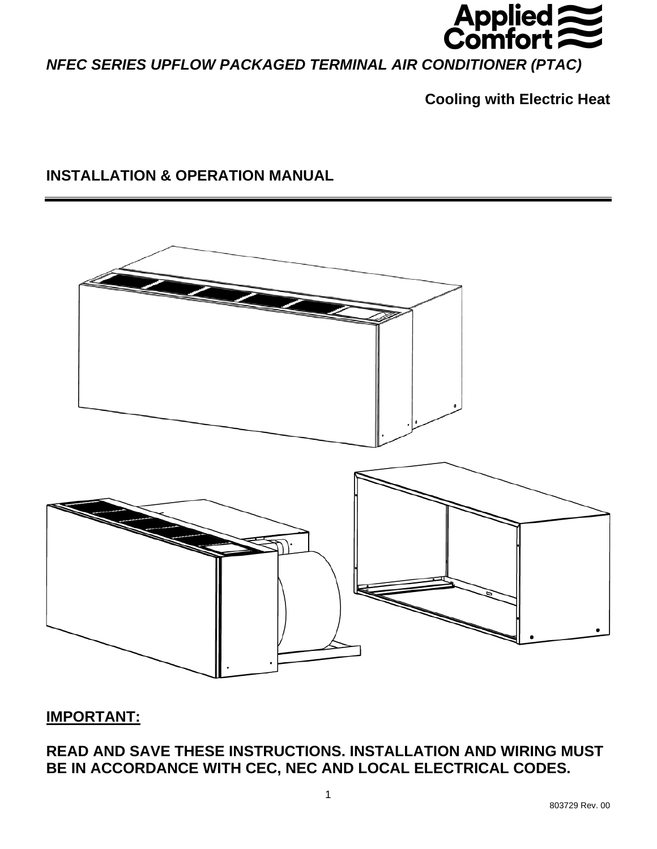

*NFEC SERIES UPFLOW PACKAGED TERMINAL AIR CONDITIONER (PTAC)* 

**Cooling with Electric Heat** 

# **INSTALLATION & OPERATION MANUAL**



# **IMPORTANT:**

**READ AND SAVE THESE INSTRUCTIONS. INSTALLATION AND WIRING MUST BE IN ACCORDANCE WITH CEC, NEC AND LOCAL ELECTRICAL CODES.**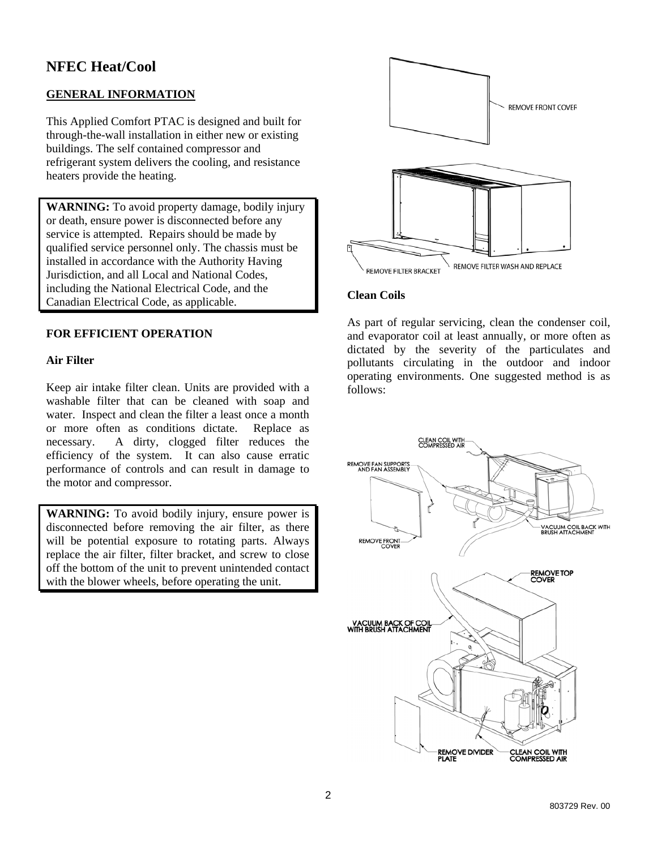# **NFEC Heat/Cool**

## **GENERAL INFORMATION**

This Applied Comfort PTAC is designed and built for through-the-wall installation in either new or existing buildings. The self contained compressor and refrigerant system delivers the cooling, and resistance heaters provide the heating.

**WARNING:** To avoid property damage, bodily injury or death, ensure power is disconnected before any service is attempted. Repairs should be made by qualified service personnel only. The chassis must be installed in accordance with the Authority Having Jurisdiction, and all Local and National Codes, including the National Electrical Code, and the Canadian Electrical Code, as applicable.

## **FOR EFFICIENT OPERATION**

#### **Air Filter**

Keep air intake filter clean. Units are provided with a washable filter that can be cleaned with soap and water. Inspect and clean the filter a least once a month or more often as conditions dictate. Replace as necessary. A dirty, clogged filter reduces the efficiency of the system. It can also cause erratic performance of controls and can result in damage to the motor and compressor.

**WARNING:** To avoid bodily injury, ensure power is disconnected before removing the air filter, as there will be potential exposure to rotating parts. Always replace the air filter, filter bracket, and screw to close off the bottom of the unit to prevent unintended contact with the blower wheels, before operating the unit.



#### **Clean Coils**

As part of regular servicing, clean the condenser coil, and evaporator coil at least annually, or more often as dictated by the severity of the particulates and pollutants circulating in the outdoor and indoor operating environments. One suggested method is as follows:

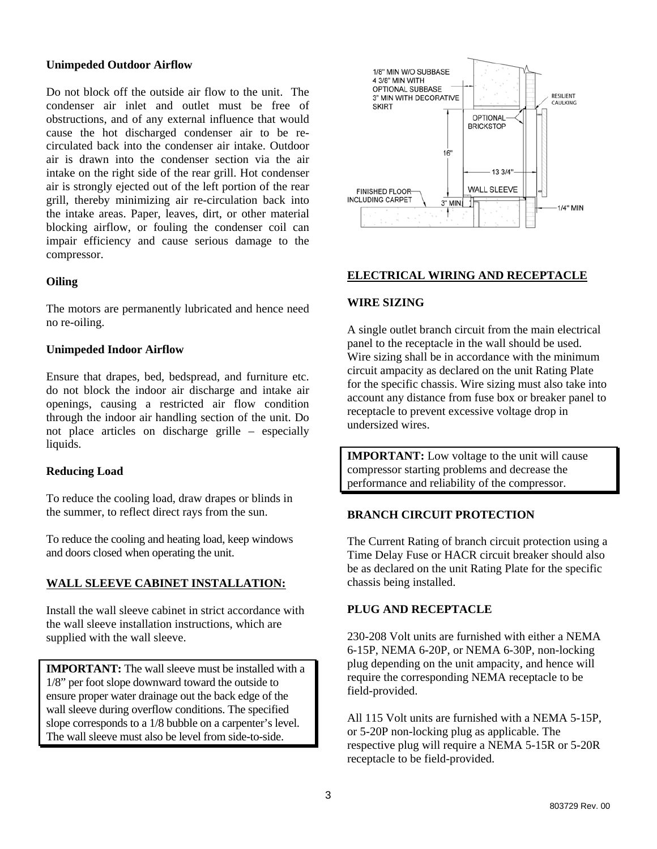#### **Unimpeded Outdoor Airflow**

Do not block off the outside air flow to the unit. The condenser air inlet and outlet must be free of obstructions, and of any external influence that would cause the hot discharged condenser air to be recirculated back into the condenser air intake. Outdoor air is drawn into the condenser section via the air intake on the right side of the rear grill. Hot condenser air is strongly ejected out of the left portion of the rear grill, thereby minimizing air re-circulation back into the intake areas. Paper, leaves, dirt, or other material blocking airflow, or fouling the condenser coil can impair efficiency and cause serious damage to the compressor.

## **Oiling**

The motors are permanently lubricated and hence need no re-oiling.

#### **Unimpeded Indoor Airflow**

Ensure that drapes, bed, bedspread, and furniture etc. do not block the indoor air discharge and intake air openings, causing a restricted air flow condition through the indoor air handling section of the unit. Do not place articles on discharge grille – especially liquids.

#### **Reducing Load**

To reduce the cooling load, draw drapes or blinds in the summer, to reflect direct rays from the sun.

To reduce the cooling and heating load, keep windows and doors closed when operating the unit.

## **WALL SLEEVE CABINET INSTALLATION:**

Install the wall sleeve cabinet in strict accordance with the wall sleeve installation instructions, which are supplied with the wall sleeve.

**IMPORTANT:** The wall sleeve must be installed with a 1/8" per foot slope downward toward the outside to ensure proper water drainage out the back edge of the wall sleeve during overflow conditions. The specified slope corresponds to a 1/8 bubble on a carpenter's level. The wall sleeve must also be level from side-to-side.



#### **ELECTRICAL WIRING AND RECEPTACLE**

#### **WIRE SIZING**

A single outlet branch circuit from the main electrical panel to the receptacle in the wall should be used. Wire sizing shall be in accordance with the minimum circuit ampacity as declared on the unit Rating Plate for the specific chassis. Wire sizing must also take into account any distance from fuse box or breaker panel to receptacle to prevent excessive voltage drop in undersized wires.

**IMPORTANT:** Low voltage to the unit will cause compressor starting problems and decrease the performance and reliability of the compressor.

#### **BRANCH CIRCUIT PROTECTION**

The Current Rating of branch circuit protection using a Time Delay Fuse or HACR circuit breaker should also be as declared on the unit Rating Plate for the specific chassis being installed.

#### **PLUG AND RECEPTACLE**

230-208 Volt units are furnished with either a NEMA 6-15P, NEMA 6-20P, or NEMA 6-30P, non-locking plug depending on the unit ampacity, and hence will require the corresponding NEMA receptacle to be field-provided.

All 115 Volt units are furnished with a NEMA 5-15P, or 5-20P non-locking plug as applicable. The respective plug will require a NEMA 5-15R or 5-20R receptacle to be field-provided.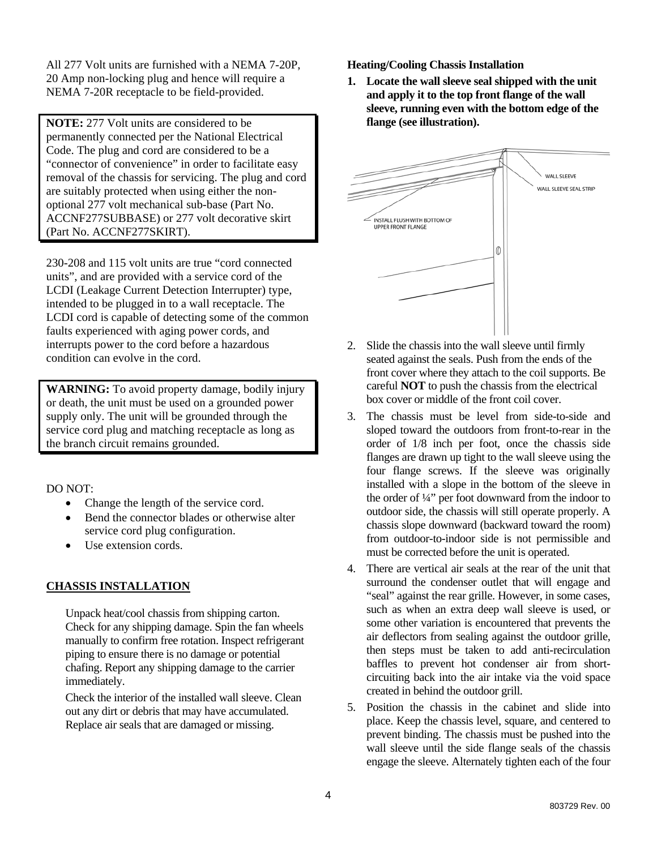All 277 Volt units are furnished with a NEMA 7-20P, 20 Amp non-locking plug and hence will require a NEMA 7-20R receptacle to be field-provided.

**NOTE:** 277 Volt units are considered to be permanently connected per the National Electrical Code. The plug and cord are considered to be a "connector of convenience" in order to facilitate easy removal of the chassis for servicing. The plug and cord are suitably protected when using either the nonoptional 277 volt mechanical sub-base (Part No. ACCNF277SUBBASE) or 277 volt decorative skirt (Part No. ACCNF277SKIRT).

230-208 and 115 volt units are true "cord connected units", and are provided with a service cord of the LCDI (Leakage Current Detection Interrupter) type, intended to be plugged in to a wall receptacle. The LCDI cord is capable of detecting some of the common faults experienced with aging power cords, and interrupts power to the cord before a hazardous condition can evolve in the cord.

**WARNING:** To avoid property damage, bodily injury or death, the unit must be used on a grounded power supply only. The unit will be grounded through the service cord plug and matching receptacle as long as the branch circuit remains grounded.

DO NOT:

- Change the length of the service cord.
- Bend the connector blades or otherwise alter service cord plug configuration.
- Use extension cords.

## **CHASSIS INSTALLATION**

Unpack heat/cool chassis from shipping carton. Check for any shipping damage. Spin the fan wheels manually to confirm free rotation. Inspect refrigerant piping to ensure there is no damage or potential chafing. Report any shipping damage to the carrier immediately.

Check the interior of the installed wall sleeve. Clean out any dirt or debris that may have accumulated. Replace air seals that are damaged or missing.

**Heating/Cooling Chassis Installation** 

**1. Locate the wall sleeve seal shipped with the unit and apply it to the top front flange of the wall sleeve, running even with the bottom edge of the flange (see illustration).** 



- 2. Slide the chassis into the wall sleeve until firmly seated against the seals. Push from the ends of the front cover where they attach to the coil supports. Be careful **NOT** to push the chassis from the electrical box cover or middle of the front coil cover.
- 3. The chassis must be level from side-to-side and sloped toward the outdoors from front-to-rear in the order of 1/8 inch per foot, once the chassis side flanges are drawn up tight to the wall sleeve using the four flange screws. If the sleeve was originally installed with a slope in the bottom of the sleeve in the order of ¼" per foot downward from the indoor to outdoor side, the chassis will still operate properly. A chassis slope downward (backward toward the room) from outdoor-to-indoor side is not permissible and must be corrected before the unit is operated.
- 4. There are vertical air seals at the rear of the unit that surround the condenser outlet that will engage and "seal" against the rear grille. However, in some cases, such as when an extra deep wall sleeve is used, or some other variation is encountered that prevents the air deflectors from sealing against the outdoor grille, then steps must be taken to add anti-recirculation baffles to prevent hot condenser air from shortcircuiting back into the air intake via the void space created in behind the outdoor grill.
- 5. Position the chassis in the cabinet and slide into place. Keep the chassis level, square, and centered to prevent binding. The chassis must be pushed into the wall sleeve until the side flange seals of the chassis engage the sleeve. Alternately tighten each of the four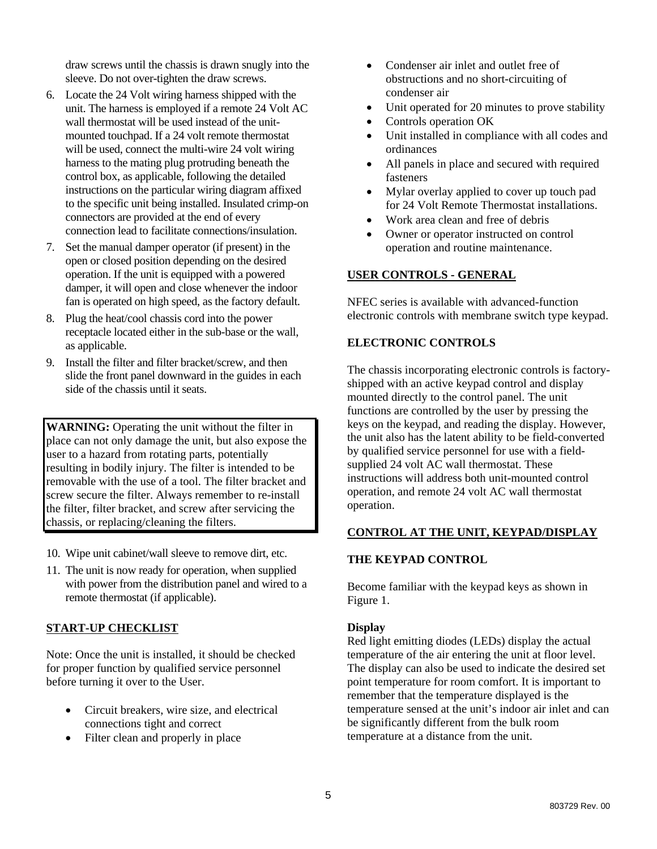draw screws until the chassis is drawn snugly into the sleeve. Do not over-tighten the draw screws.

- 6. Locate the 24 Volt wiring harness shipped with the unit. The harness is employed if a remote 24 Volt AC wall thermostat will be used instead of the unitmounted touchpad. If a 24 volt remote thermostat will be used, connect the multi-wire 24 volt wiring harness to the mating plug protruding beneath the control box, as applicable, following the detailed instructions on the particular wiring diagram affixed to the specific unit being installed. Insulated crimp-on connectors are provided at the end of every connection lead to facilitate connections/insulation.
- 7. Set the manual damper operator (if present) in the open or closed position depending on the desired operation. If the unit is equipped with a powered damper, it will open and close whenever the indoor fan is operated on high speed, as the factory default.
- 8. Plug the heat/cool chassis cord into the power receptacle located either in the sub-base or the wall, as applicable.
- 9. Install the filter and filter bracket/screw, and then slide the front panel downward in the guides in each side of the chassis until it seats.

**WARNING:** Operating the unit without the filter in place can not only damage the unit, but also expose the user to a hazard from rotating parts, potentially resulting in bodily injury. The filter is intended to be removable with the use of a tool. The filter bracket and screw secure the filter. Always remember to re-install the filter, filter bracket, and screw after servicing the chassis, or replacing/cleaning the filters.

- 10. Wipe unit cabinet/wall sleeve to remove dirt, etc.
- 11. The unit is now ready for operation, when supplied with power from the distribution panel and wired to a remote thermostat (if applicable).

## **START-UP CHECKLIST**

Note: Once the unit is installed, it should be checked for proper function by qualified service personnel before turning it over to the User.

- Circuit breakers, wire size, and electrical connections tight and correct
- Filter clean and properly in place
- Condenser air inlet and outlet free of obstructions and no short-circuiting of condenser air
- Unit operated for 20 minutes to prove stability
- Controls operation OK
- Unit installed in compliance with all codes and ordinances
- All panels in place and secured with required fasteners
- Mylar overlay applied to cover up touch pad for 24 Volt Remote Thermostat installations.
- Work area clean and free of debris
- Owner or operator instructed on control operation and routine maintenance.

## **USER CONTROLS - GENERAL**

NFEC series is available with advanced-function electronic controls with membrane switch type keypad.

#### **ELECTRONIC CONTROLS**

The chassis incorporating electronic controls is factoryshipped with an active keypad control and display mounted directly to the control panel. The unit functions are controlled by the user by pressing the keys on the keypad, and reading the display. However, the unit also has the latent ability to be field-converted by qualified service personnel for use with a fieldsupplied 24 volt AC wall thermostat. These instructions will address both unit-mounted control operation, and remote 24 volt AC wall thermostat operation.

#### **CONTROL AT THE UNIT, KEYPAD/DISPLAY**

#### **THE KEYPAD CONTROL**

Become familiar with the keypad keys as shown in Figure 1.

#### **Display**

Red light emitting diodes (LEDs) display the actual temperature of the air entering the unit at floor level. The display can also be used to indicate the desired set point temperature for room comfort. It is important to remember that the temperature displayed is the temperature sensed at the unit's indoor air inlet and can be significantly different from the bulk room temperature at a distance from the unit.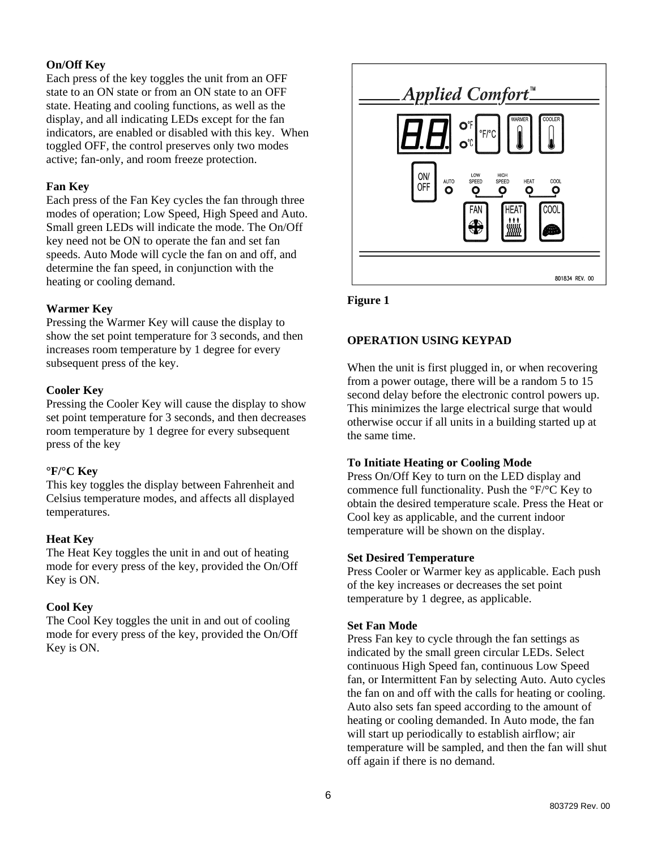## **On/Off Key**

Each press of the key toggles the unit from an OFF state to an ON state or from an ON state to an OFF state. Heating and cooling functions, as well as the display, and all indicating LEDs except for the fan indicators, are enabled or disabled with this key. When toggled OFF, the control preserves only two modes active; fan-only, and room freeze protection.

## **Fan Key**

Each press of the Fan Key cycles the fan through three modes of operation; Low Speed, High Speed and Auto. Small green LEDs will indicate the mode. The On/Off key need not be ON to operate the fan and set fan speeds. Auto Mode will cycle the fan on and off, and determine the fan speed, in conjunction with the heating or cooling demand.

## **Warmer Key**

Pressing the Warmer Key will cause the display to show the set point temperature for 3 seconds, and then increases room temperature by 1 degree for every subsequent press of the key.

## **Cooler Key**

Pressing the Cooler Key will cause the display to show set point temperature for 3 seconds, and then decreases room temperature by 1 degree for every subsequent press of the key

#### **°F/°C Key**

This key toggles the display between Fahrenheit and Celsius temperature modes, and affects all displayed temperatures.

## **Heat Key**

The Heat Key toggles the unit in and out of heating mode for every press of the key, provided the On/Off Key is ON.

## **Cool Key**

The Cool Key toggles the unit in and out of cooling mode for every press of the key, provided the On/Off Key is ON.



**Figure 1** 

## **OPERATION USING KEYPAD**

When the unit is first plugged in, or when recovering from a power outage, there will be a random 5 to 15 second delay before the electronic control powers up. This minimizes the large electrical surge that would otherwise occur if all units in a building started up at the same time.

## **To Initiate Heating or Cooling Mode**

Press On/Off Key to turn on the LED display and commence full functionality. Push the °F/°C Key to obtain the desired temperature scale. Press the Heat or Cool key as applicable, and the current indoor temperature will be shown on the display.

#### **Set Desired Temperature**

Press Cooler or Warmer key as applicable. Each push of the key increases or decreases the set point temperature by 1 degree, as applicable.

#### **Set Fan Mode**

Press Fan key to cycle through the fan settings as indicated by the small green circular LEDs. Select continuous High Speed fan, continuous Low Speed fan, or Intermittent Fan by selecting Auto. Auto cycles the fan on and off with the calls for heating or cooling. Auto also sets fan speed according to the amount of heating or cooling demanded. In Auto mode, the fan will start up periodically to establish airflow; air temperature will be sampled, and then the fan will shut off again if there is no demand.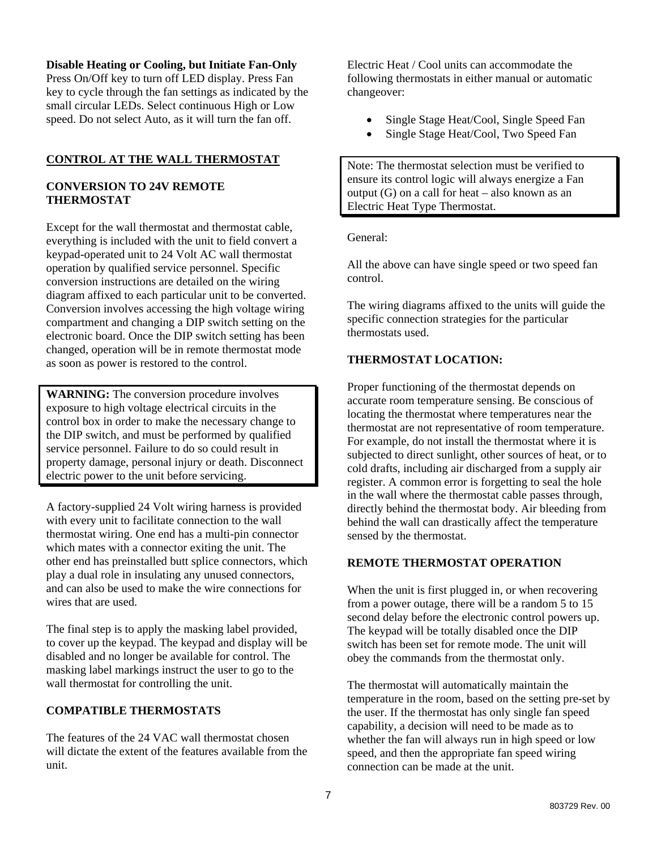#### **Disable Heating or Cooling, but Initiate Fan-Only**

Press On/Off key to turn off LED display. Press Fan key to cycle through the fan settings as indicated by the small circular LEDs. Select continuous High or Low speed. Do not select Auto, as it will turn the fan off.

## **CONTROL AT THE WALL THERMOSTAT**

## **CONVERSION TO 24V REMOTE THERMOSTAT**

Except for the wall thermostat and thermostat cable, everything is included with the unit to field convert a keypad-operated unit to 24 Volt AC wall thermostat operation by qualified service personnel. Specific conversion instructions are detailed on the wiring diagram affixed to each particular unit to be converted. Conversion involves accessing the high voltage wiring compartment and changing a DIP switch setting on the electronic board. Once the DIP switch setting has been changed, operation will be in remote thermostat mode as soon as power is restored to the control.

**WARNING:** The conversion procedure involves exposure to high voltage electrical circuits in the control box in order to make the necessary change to the DIP switch, and must be performed by qualified service personnel. Failure to do so could result in property damage, personal injury or death. Disconnect electric power to the unit before servicing.

A factory-supplied 24 Volt wiring harness is provided with every unit to facilitate connection to the wall thermostat wiring. One end has a multi-pin connector which mates with a connector exiting the unit. The other end has preinstalled butt splice connectors, which play a dual role in insulating any unused connectors, and can also be used to make the wire connections for wires that are used.

The final step is to apply the masking label provided, to cover up the keypad. The keypad and display will be disabled and no longer be available for control. The masking label markings instruct the user to go to the wall thermostat for controlling the unit.

## **COMPATIBLE THERMOSTATS**

The features of the 24 VAC wall thermostat chosen will dictate the extent of the features available from the unit.

Electric Heat / Cool units can accommodate the following thermostats in either manual or automatic changeover:

- Single Stage Heat/Cool, Single Speed Fan
- Single Stage Heat/Cool, Two Speed Fan

Note: The thermostat selection must be verified to ensure its control logic will always energize a Fan output (G) on a call for heat – also known as an Electric Heat Type Thermostat.

General:

All the above can have single speed or two speed fan control.

The wiring diagrams affixed to the units will guide the specific connection strategies for the particular thermostats used.

## **THERMOSTAT LOCATION:**

Proper functioning of the thermostat depends on accurate room temperature sensing. Be conscious of locating the thermostat where temperatures near the thermostat are not representative of room temperature. For example, do not install the thermostat where it is subjected to direct sunlight, other sources of heat, or to cold drafts, including air discharged from a supply air register. A common error is forgetting to seal the hole in the wall where the thermostat cable passes through, directly behind the thermostat body. Air bleeding from behind the wall can drastically affect the temperature sensed by the thermostat.

## **REMOTE THERMOSTAT OPERATION**

When the unit is first plugged in, or when recovering from a power outage, there will be a random 5 to 15 second delay before the electronic control powers up. The keypad will be totally disabled once the DIP switch has been set for remote mode. The unit will obey the commands from the thermostat only.

The thermostat will automatically maintain the temperature in the room, based on the setting pre-set by the user. If the thermostat has only single fan speed capability, a decision will need to be made as to whether the fan will always run in high speed or low speed, and then the appropriate fan speed wiring connection can be made at the unit.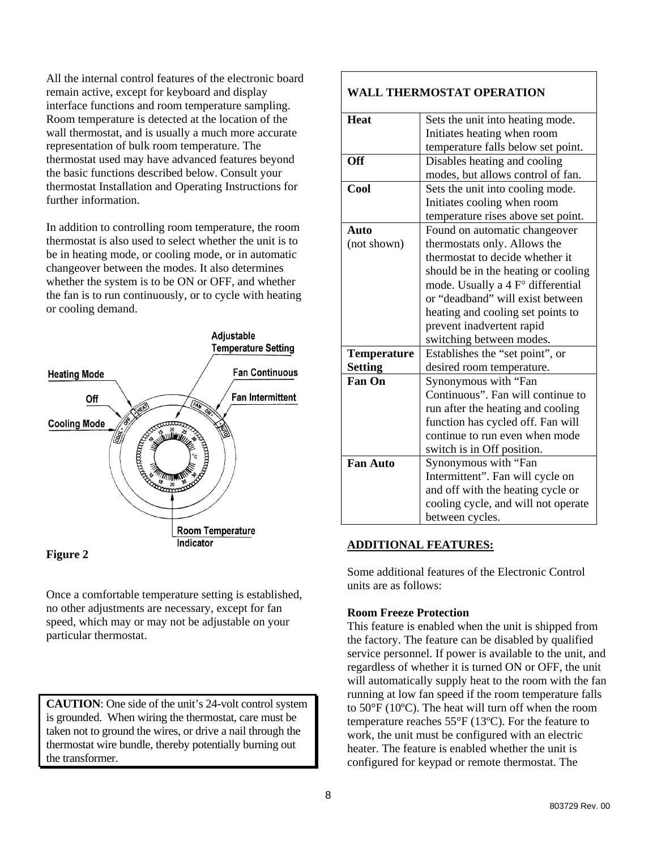All the internal control features of the electronic board remain active, except for keyboard and display interface functions and room temperature sampling. Room temperature is detected at the location of the wall thermostat, and is usually a much more accurate representation of bulk room temperature. The thermostat used may have advanced features beyond the basic functions described below. Consult your thermostat Installation and Operating Instructions for further information.

In addition to controlling room temperature, the room thermostat is also used to select whether the unit is to be in heating mode, or cooling mode, or in automatic changeover between the modes. It also determines whether the system is to be ON or OFF, and whether the fan is to run continuously, or to cycle with heating or cooling demand.



#### **Figure 2**

Once a comfortable temperature setting is established, no other adjustments are necessary, except for fan speed, which may or may not be adjustable on your particular thermostat.

**CAUTION**: One side of the unit's 24-volt control system is grounded. When wiring the thermostat, care must be taken not to ground the wires, or drive a nail through the thermostat wire bundle, thereby potentially burning out the transformer.

## **WALL THERMOSTAT OPERATION**

| <b>Heat</b>        | Sets the unit into heating mode.    |  |  |  |
|--------------------|-------------------------------------|--|--|--|
|                    | Initiates heating when room         |  |  |  |
|                    | temperature falls below set point.  |  |  |  |
| <b>Off</b>         | Disables heating and cooling        |  |  |  |
|                    | modes, but allows control of fan.   |  |  |  |
| Cool               | Sets the unit into cooling mode.    |  |  |  |
|                    | Initiates cooling when room         |  |  |  |
|                    | temperature rises above set point.  |  |  |  |
| Auto               | Found on automatic changeover       |  |  |  |
| (not shown)        | thermostats only. Allows the        |  |  |  |
|                    | thermostat to decide whether it     |  |  |  |
|                    | should be in the heating or cooling |  |  |  |
|                    | mode. Usually a 4 F° differential   |  |  |  |
|                    | or "deadband" will exist between    |  |  |  |
|                    | heating and cooling set points to   |  |  |  |
|                    | prevent inadvertent rapid           |  |  |  |
|                    | switching between modes.            |  |  |  |
| <b>Temperature</b> | Establishes the "set point", or     |  |  |  |
| <b>Setting</b>     | desired room temperature.           |  |  |  |
| <b>Fan On</b>      | Synonymous with "Fan                |  |  |  |
|                    | Continuous". Fan will continue to   |  |  |  |
|                    | run after the heating and cooling   |  |  |  |
|                    | function has cycled off. Fan will   |  |  |  |
|                    | continue to run even when mode      |  |  |  |
|                    | switch is in Off position.          |  |  |  |
| <b>Fan Auto</b>    | Synonymous with "Fan                |  |  |  |
|                    | Intermittent". Fan will cycle on    |  |  |  |
|                    | and off with the heating cycle or   |  |  |  |
|                    | cooling cycle, and will not operate |  |  |  |
|                    | between cycles.                     |  |  |  |

#### **ADDITIONAL FEATURES:**

Some additional features of the Electronic Control units are as follows:

#### **Room Freeze Protection**

This feature is enabled when the unit is shipped from the factory. The feature can be disabled by qualified service personnel. If power is available to the unit, and regardless of whether it is turned ON or OFF, the unit will automatically supply heat to the room with the fan running at low fan speed if the room temperature falls to 50°F (10ºC). The heat will turn off when the room temperature reaches 55°F (13ºC). For the feature to work, the unit must be configured with an electric heater. The feature is enabled whether the unit is configured for keypad or remote thermostat. The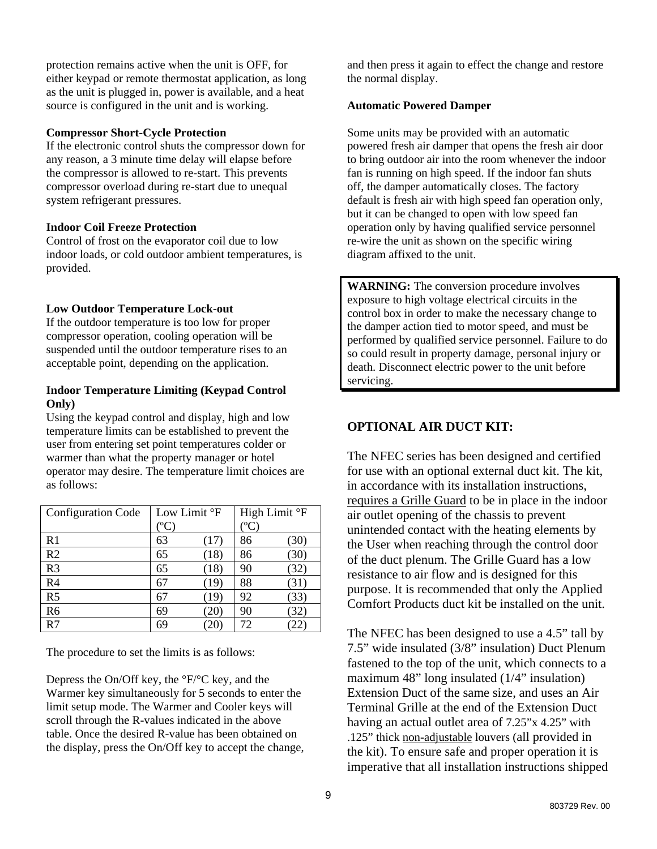protection remains active when the unit is OFF, for either keypad or remote thermostat application, as long as the unit is plugged in, power is available, and a heat source is configured in the unit and is working.

#### **Compressor Short-Cycle Protection**

If the electronic control shuts the compressor down for any reason, a 3 minute time delay will elapse before the compressor is allowed to re-start. This prevents compressor overload during re-start due to unequal system refrigerant pressures.

## **Indoor Coil Freeze Protection**

Control of frost on the evaporator coil due to low indoor loads, or cold outdoor ambient temperatures, is provided.

#### **Low Outdoor Temperature Lock-out**

If the outdoor temperature is too low for proper compressor operation, cooling operation will be suspended until the outdoor temperature rises to an acceptable point, depending on the application.

#### **Indoor Temperature Limiting (Keypad Control Only)**

Using the keypad control and display, high and low temperature limits can be established to prevent the user from entering set point temperatures colder or warmer than what the property manager or hotel operator may desire. The temperature limit choices are as follows:

| <b>Configuration Code</b> | Low Limit °F        |      | High Limit °F |      |
|---------------------------|---------------------|------|---------------|------|
|                           | $^{\rm o}\!{\rm C}$ |      | $^{\circ}$ C  |      |
| R1                        | 63                  | (17) | 86            | (30) |
| R <sub>2</sub>            | 65                  | (18) | 86            | (30) |
| R <sub>3</sub>            | 65                  | (18) | 90            | (32) |
| R <sub>4</sub>            | 67                  | (19) | 88            | (31) |
| R <sub>5</sub>            | 67                  | (19) | 92            | (33) |
| R <sub>6</sub>            | 69                  | 20)  | 90            | 32   |
| R7                        | 69                  | 20)  | 72            |      |

The procedure to set the limits is as follows:

Depress the On/Off key, the °F/°C key, and the Warmer key simultaneously for 5 seconds to enter the limit setup mode. The Warmer and Cooler keys will scroll through the R-values indicated in the above table. Once the desired R-value has been obtained on the display, press the On/Off key to accept the change,

and then press it again to effect the change and restore the normal display.

#### **Automatic Powered Damper**

Some units may be provided with an automatic powered fresh air damper that opens the fresh air door to bring outdoor air into the room whenever the indoor fan is running on high speed. If the indoor fan shuts off, the damper automatically closes. The factory default is fresh air with high speed fan operation only, but it can be changed to open with low speed fan operation only by having qualified service personnel re-wire the unit as shown on the specific wiring diagram affixed to the unit.

**WARNING:** The conversion procedure involves exposure to high voltage electrical circuits in the control box in order to make the necessary change to the damper action tied to motor speed, and must be performed by qualified service personnel. Failure to do so could result in property damage, personal injury or death. Disconnect electric power to the unit before servicing.

## **OPTIONAL AIR DUCT KIT:**

The NFEC series has been designed and certified for use with an optional external duct kit. The kit, in accordance with its installation instructions, requires a Grille Guard to be in place in the indoor air outlet opening of the chassis to prevent unintended contact with the heating elements by the User when reaching through the control door of the duct plenum. The Grille Guard has a low resistance to air flow and is designed for this purpose. It is recommended that only the Applied Comfort Products duct kit be installed on the unit.

The NFEC has been designed to use a 4.5" tall by 7.5" wide insulated (3/8" insulation) Duct Plenum fastened to the top of the unit, which connects to a maximum 48" long insulated (1/4" insulation) Extension Duct of the same size, and uses an Air Terminal Grille at the end of the Extension Duct having an actual outlet area of 7.25"x 4.25" with .125" thick non-adjustable louvers (all provided in the kit). To ensure safe and proper operation it is imperative that all installation instructions shipped